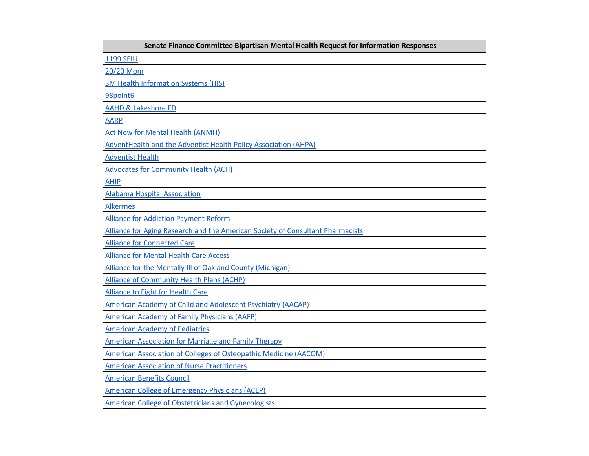| Senate Finance Committee Bipartisan Mental Health Request for Information Responses |
|-------------------------------------------------------------------------------------|
| <b>1199 SEIU</b>                                                                    |
| 20/20 Mom                                                                           |
| <b>3M Health Information Systems (HIS)</b>                                          |
| 98point6                                                                            |
| <b>AAHD &amp; Lakeshore FD</b>                                                      |
| <b>AARP</b>                                                                         |
| <b>Act Now for Mental Health (ANMH)</b>                                             |
| AdventHealth and the Adventist Health Policy Association (AHPA)                     |
| <b>Adventist Health</b>                                                             |
| <b>Advocates for Community Health (ACH)</b>                                         |
| <b>AHIP</b>                                                                         |
| <b>Alabama Hospital Association</b>                                                 |
| <b>Alkermes</b>                                                                     |
| <b>Alliance for Addiction Payment Reform</b>                                        |
| Alliance for Aging Research and the American Society of Consultant Pharmacists      |
| <b>Alliance for Connected Care</b>                                                  |
| <b>Alliance for Mental Health Care Access</b>                                       |
| Alliance for the Mentally III of Oakland County (Michigan)                          |
| <b>Alliance of Community Health Plans (ACHP)</b>                                    |
| <b>Alliance to Fight for Health Care</b>                                            |
| American Academy of Child and Adolescent Psychiatry (AACAP)                         |
| American Academy of Family Physicians (AAFP)                                        |
| <b>American Academy of Pediatrics</b>                                               |
| <b>American Association for Marriage and Family Therapy</b>                         |
| <b>American Association of Colleges of Osteopathic Medicine (AACOM)</b>             |
| <b>American Association of Nurse Practitioners</b>                                  |
| <b>American Benefits Council</b>                                                    |
| <b>American College of Emergency Physicians (ACEP)</b>                              |
| <b>American College of Obstetricians and Gynecologists</b>                          |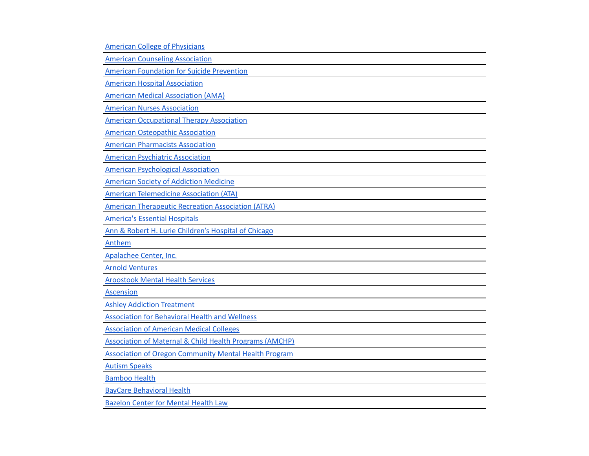| <b>American College of Physicians</b>                              |
|--------------------------------------------------------------------|
| <b>American Counseling Association</b>                             |
| <b>American Foundation for Suicide Prevention</b>                  |
| <b>American Hospital Association</b>                               |
| <b>American Medical Association (AMA)</b>                          |
| <b>American Nurses Association</b>                                 |
| <b>American Occupational Therapy Association</b>                   |
| <b>American Osteopathic Association</b>                            |
| <b>American Pharmacists Association</b>                            |
| <b>American Psychiatric Association</b>                            |
| <b>American Psychological Association</b>                          |
| <b>American Society of Addiction Medicine</b>                      |
| <b>American Telemedicine Association (ATA)</b>                     |
| <b>American Therapeutic Recreation Association (ATRA)</b>          |
| <b>America's Essential Hospitals</b>                               |
| Ann & Robert H. Lurie Children's Hospital of Chicago               |
| Anthem                                                             |
| Apalachee Center, Inc.                                             |
| <b>Arnold Ventures</b>                                             |
| <b>Aroostook Mental Health Services</b>                            |
| <b>Ascension</b>                                                   |
| <b>Ashley Addiction Treatment</b>                                  |
| <b>Association for Behavioral Health and Wellness</b>              |
| <b>Association of American Medical Colleges</b>                    |
| <b>Association of Maternal &amp; Child Health Programs (AMCHP)</b> |
| <b>Association of Oregon Community Mental Health Program</b>       |
| <b>Autism Speaks</b>                                               |
| <b>Bamboo Health</b>                                               |
| <b>BayCare Behavioral Health</b>                                   |
| <b>Bazelon Center for Mental Health Law</b>                        |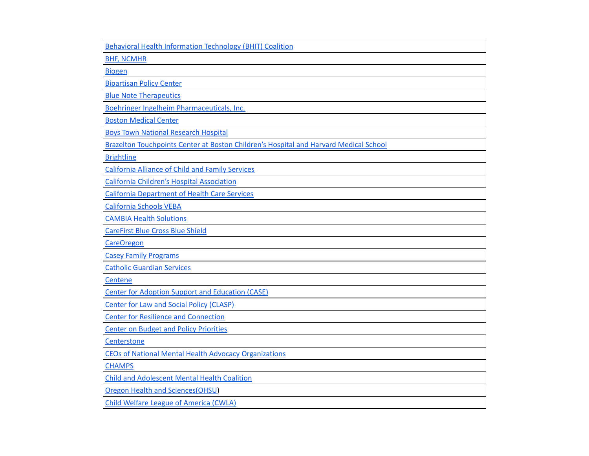| <b>Behavioral Health Information Technology (BHIT) Coalition</b>                      |
|---------------------------------------------------------------------------------------|
| <b>BHF, NCMHR</b>                                                                     |
| <b>Biogen</b>                                                                         |
| <b>Bipartisan Policy Center</b>                                                       |
| <b>Blue Note Therapeutics</b>                                                         |
| Boehringer Ingelheim Pharmaceuticals, Inc.                                            |
| <b>Boston Medical Center</b>                                                          |
| <b>Boys Town National Research Hospital</b>                                           |
| Brazelton Touchpoints Center at Boston Children's Hospital and Harvard Medical School |
| <b>Brightline</b>                                                                     |
| <b>California Alliance of Child and Family Services</b>                               |
| <b>California Children's Hospital Association</b>                                     |
| <b>California Department of Health Care Services</b>                                  |
| <b>California Schools VEBA</b>                                                        |
| <b>CAMBIA Health Solutions</b>                                                        |
| <b>CareFirst Blue Cross Blue Shield</b>                                               |
| <b>CareOregon</b>                                                                     |
| <b>Casey Family Programs</b>                                                          |
| <b>Catholic Guardian Services</b>                                                     |
| Centene                                                                               |
| <b>Center for Adoption Support and Education (CASE)</b>                               |
| <b>Center for Law and Social Policy (CLASP)</b>                                       |
| <b>Center for Resilience and Connection</b>                                           |
| <b>Center on Budget and Policy Priorities</b>                                         |
| Centerstone                                                                           |
| <b>CEOs of National Mental Health Advocacy Organizations</b>                          |
| <b>CHAMPS</b>                                                                         |
| <b>Child and Adolescent Mental Health Coalition</b>                                   |
| <b>Oregon Health and Sciences (OHSU)</b>                                              |
| <b>Child Welfare League of America (CWLA)</b>                                         |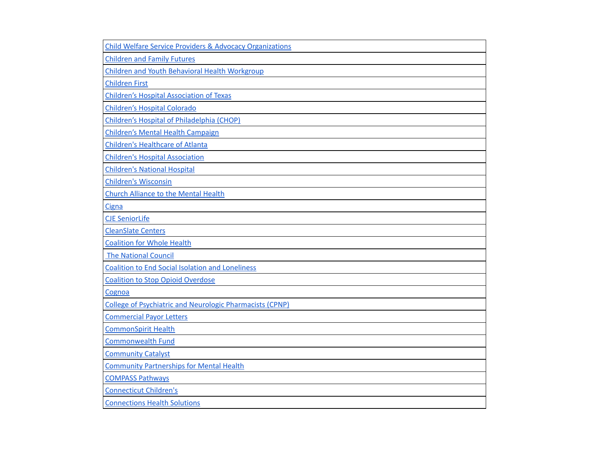| <b>Child Welfare Service Providers &amp; Advocacy Organizations</b> |
|---------------------------------------------------------------------|
| <b>Children and Family Futures</b>                                  |
| <b>Children and Youth Behavioral Health Workgroup</b>               |
| <b>Children First</b>                                               |
| <b>Children's Hospital Association of Texas</b>                     |
| <b>Children's Hospital Colorado</b>                                 |
| Children's Hospital of Philadelphia (CHOP)                          |
| <b>Children's Mental Health Campaign</b>                            |
| <b>Children's Healthcare of Atlanta</b>                             |
| <b>Children's Hospital Association</b>                              |
| <b>Children's National Hospital</b>                                 |
| <b>Children's Wisconsin</b>                                         |
| <b>Church Alliance to the Mental Health</b>                         |
| Cigna                                                               |
| <b>CJE SeniorLife</b>                                               |
| <b>CleanSlate Centers</b>                                           |
| <b>Coalition for Whole Health</b>                                   |
| <b>The National Council</b>                                         |
| <b>Coalition to End Social Isolation and Loneliness</b>             |
| <b>Coalition to Stop Opioid Overdose</b>                            |
| Cognoa                                                              |
| <b>College of Psychiatric and Neurologic Pharmacists (CPNP)</b>     |
| <b>Commercial Payor Letters</b>                                     |
| <b>CommonSpirit Health</b>                                          |
| <b>Commonwealth Fund</b>                                            |
| <b>Community Catalyst</b>                                           |
| <b>Community Partnerships for Mental Health</b>                     |
| <b>COMPASS Pathways</b>                                             |
| <b>Connecticut Children's</b>                                       |
| <b>Connections Health Solutions</b>                                 |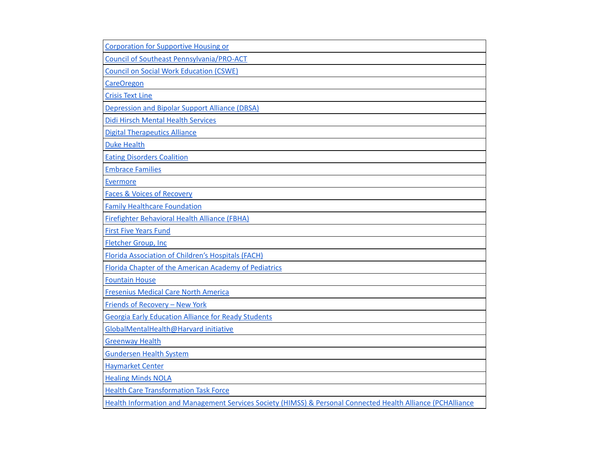| <b>Corporation for Supportive Housing or</b>                                                                            |
|-------------------------------------------------------------------------------------------------------------------------|
| <b>Council of Southeast Pennsylvania/PRO-ACT</b>                                                                        |
| <b>Council on Social Work Education (CSWE)</b>                                                                          |
| <b>CareOregon</b>                                                                                                       |
| <b>Crisis Text Line</b>                                                                                                 |
| Depression and Bipolar Support Alliance (DBSA)                                                                          |
| Didi Hirsch Mental Health Services                                                                                      |
| <b>Digital Therapeutics Alliance</b>                                                                                    |
| <b>Duke Health</b>                                                                                                      |
| <b>Eating Disorders Coalition</b>                                                                                       |
| <b>Embrace Families</b>                                                                                                 |
| Evermore                                                                                                                |
| <b>Faces &amp; Voices of Recovery</b>                                                                                   |
| <b>Family Healthcare Foundation</b>                                                                                     |
| <b>Firefighter Behavioral Health Alliance (FBHA)</b>                                                                    |
| <b>First Five Years Fund</b>                                                                                            |
| Fletcher Group, Inc                                                                                                     |
| <b>Florida Association of Children's Hospitals (FACH)</b>                                                               |
| Florida Chapter of the American Academy of Pediatrics                                                                   |
| <b>Fountain House</b>                                                                                                   |
| <b>Fresenius Medical Care North America</b>                                                                             |
| Friends of Recovery - New York                                                                                          |
| <b>Georgia Early Education Alliance for Ready Students</b>                                                              |
| GlobalMentalHealth@Harvard initiative                                                                                   |
| <b>Greenway Health</b>                                                                                                  |
| <b>Gundersen Health System</b>                                                                                          |
| <b>Haymarket Center</b>                                                                                                 |
| <b>Healing Minds NOLA</b>                                                                                               |
| <b>Health Care Transformation Task Force</b>                                                                            |
| <b>Health Information and Management Services Society (HIMSS) &amp; Personal Connected Health Alliance (PCHAlliance</b> |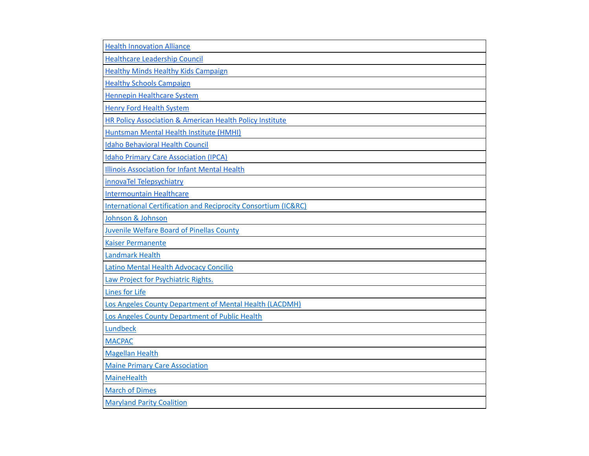| <b>Health Innovation Alliance</b>                                         |
|---------------------------------------------------------------------------|
| <b>Healthcare Leadership Council</b>                                      |
| <b>Healthy Minds Healthy Kids Campaign</b>                                |
| <b>Healthy Schools Campaign</b>                                           |
| <b>Hennepin Healthcare System</b>                                         |
| <b>Henry Ford Health System</b>                                           |
| HR Policy Association & American Health Policy Institute                  |
| Huntsman Mental Health Institute (HMHI)                                   |
| <b>Idaho Behavioral Health Council</b>                                    |
| <b>Idaho Primary Care Association (IPCA)</b>                              |
| <b>Illinois Association for Infant Mental Health</b>                      |
| innovaTel Telepsychiatry                                                  |
| <b>Intermountain Healthcare</b>                                           |
| <b>International Certification and Reciprocity Consortium (IC&amp;RC)</b> |
| Johnson & Johnson                                                         |
| Juvenile Welfare Board of Pinellas County                                 |
| <b>Kaiser Permanente</b>                                                  |
| <b>Landmark Health</b>                                                    |
| Latino Mental Health Advocacy Concilio                                    |
| Law Project for Psychiatric Rights.                                       |
| <b>Lines for Life</b>                                                     |
| Los Angeles County Department of Mental Health (LACDMH)                   |
| Los Angeles County Department of Public Health                            |
| Lundbeck                                                                  |
| <b>MACPAC</b>                                                             |
| <b>Magellan Health</b>                                                    |
| <b>Maine Primary Care Association</b>                                     |
| <b>MaineHealth</b>                                                        |
| <b>March of Dimes</b>                                                     |
| <b>Maryland Parity Coalition</b>                                          |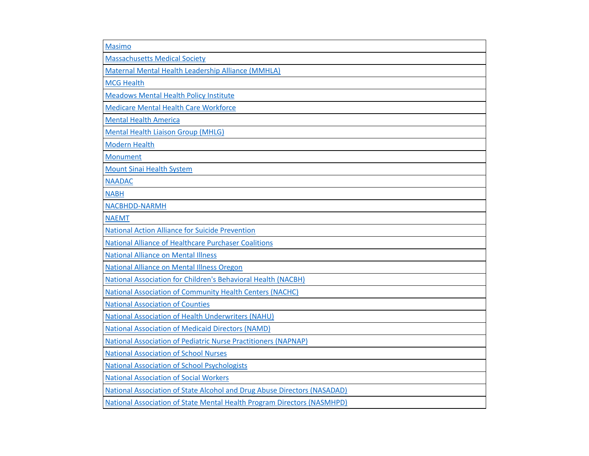| <b>Masimo</b>                                                                  |
|--------------------------------------------------------------------------------|
| <b>Massachusetts Medical Society</b>                                           |
| Maternal Mental Health Leadership Alliance (MMHLA)                             |
| <b>MCG Health</b>                                                              |
| <b>Meadows Mental Health Policy Institute</b>                                  |
| <b>Medicare Mental Health Care Workforce</b>                                   |
| <b>Mental Health America</b>                                                   |
| <b>Mental Health Liaison Group (MHLG)</b>                                      |
| <b>Modern Health</b>                                                           |
| Monument                                                                       |
| <b>Mount Sinai Health System</b>                                               |
| <b>NAADAC</b>                                                                  |
| <b>NABH</b>                                                                    |
| <b>NACBHDD-NARMH</b>                                                           |
| <b>NAEMT</b>                                                                   |
| <b>National Action Alliance for Suicide Prevention</b>                         |
| National Alliance of Healthcare Purchaser Coalitions                           |
| <b>National Alliance on Mental Illness</b>                                     |
| <b>National Alliance on Mental Illness Oregon</b>                              |
| National Association for Children's Behavioral Health (NACBH)                  |
| National Association of Community Health Centers (NACHC)                       |
| <b>National Association of Counties</b>                                        |
| <b>National Association of Health Underwriters (NAHU)</b>                      |
| <b>National Association of Medicaid Directors (NAMD)</b>                       |
| <b>National Association of Pediatric Nurse Practitioners (NAPNAP)</b>          |
| <b>National Association of School Nurses</b>                                   |
| <b>National Association of School Psychologists</b>                            |
| <b>National Association of Social Workers</b>                                  |
| National Association of State Alcohol and Drug Abuse Directors (NASADAD)       |
| <b>National Association of State Mental Health Program Directors (NASMHPD)</b> |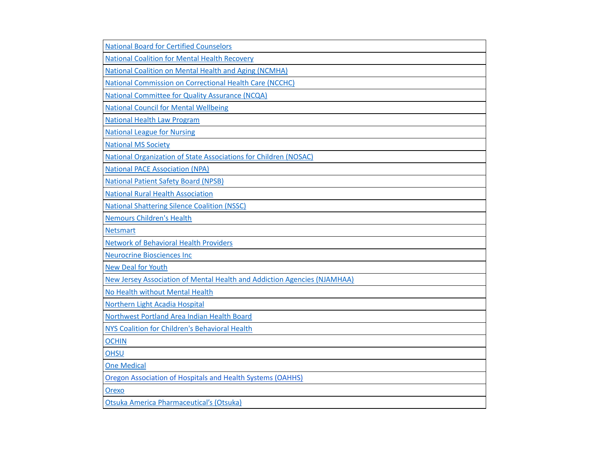| <b>National Board for Certified Counselors</b>                           |
|--------------------------------------------------------------------------|
| <b>National Coalition for Mental Health Recovery</b>                     |
| National Coalition on Mental Health and Aging (NCMHA)                    |
| <b>National Commission on Correctional Health Care (NCCHC)</b>           |
| National Committee for Quality Assurance (NCQA)                          |
| <b>National Council for Mental Wellbeing</b>                             |
| <b>National Health Law Program</b>                                       |
| <b>National League for Nursing</b>                                       |
| <b>National MS Society</b>                                               |
| <b>National Organization of State Associations for Children (NOSAC)</b>  |
| <b>National PACE Association (NPA)</b>                                   |
| <b>National Patient Safety Board (NPSB)</b>                              |
| <b>National Rural Health Association</b>                                 |
| <b>National Shattering Silence Coalition (NSSC)</b>                      |
| <b>Nemours Children's Health</b>                                         |
| <b>Netsmart</b>                                                          |
| <b>Network of Behavioral Health Providers</b>                            |
| <b>Neurocrine Biosciences Inc</b>                                        |
| <b>New Deal for Youth</b>                                                |
| New Jersey Association of Mental Health and Addiction Agencies (NJAMHAA) |
| No Health without Mental Health                                          |
| Northern Light Acadia Hospital                                           |
| Northwest Portland Area Indian Health Board                              |
| NYS Coalition for Children's Behavioral Health                           |
| <b>OCHIN</b>                                                             |
| <b>OHSU</b>                                                              |
| <b>One Medical</b>                                                       |
| Oregon Association of Hospitals and Health Systems (OAHHS)               |
| Orexo                                                                    |
| Otsuka America Pharmaceutical's (Otsuka)                                 |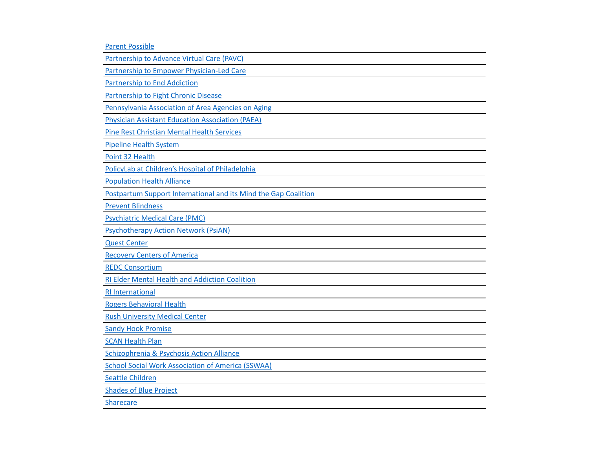| <b>Parent Possible</b>                                          |
|-----------------------------------------------------------------|
| Partnership to Advance Virtual Care (PAVC)                      |
| Partnership to Empower Physician-Led Care                       |
| <b>Partnership to End Addiction</b>                             |
| <b>Partnership to Fight Chronic Disease</b>                     |
| Pennsylvania Association of Area Agencies on Aging              |
| <b>Physician Assistant Education Association (PAEA)</b>         |
| <b>Pine Rest Christian Mental Health Services</b>               |
| <b>Pipeline Health System</b>                                   |
| Point 32 Health                                                 |
| PolicyLab at Children's Hospital of Philadelphia                |
| <b>Population Health Alliance</b>                               |
| Postpartum Support International and its Mind the Gap Coalition |
| <b>Prevent Blindness</b>                                        |
| <b>Psychiatric Medical Care (PMC)</b>                           |
| <b>Psychotherapy Action Network (PsiAN)</b>                     |
| <b>Quest Center</b>                                             |
| <b>Recovery Centers of America</b>                              |
| <b>REDC Consortium</b>                                          |
| <b>RI Elder Mental Health and Addiction Coalition</b>           |
| <b>RI</b> International                                         |
| <b>Rogers Behavioral Health</b>                                 |
| <b>Rush University Medical Center</b>                           |
| <b>Sandy Hook Promise</b>                                       |
| <b>SCAN Health Plan</b>                                         |
| Schizophrenia & Psychosis Action Alliance                       |
| <b>School Social Work Association of America (SSWAA)</b>        |
| <b>Seattle Children</b>                                         |
| <b>Shades of Blue Project</b>                                   |
| <b>Sharecare</b>                                                |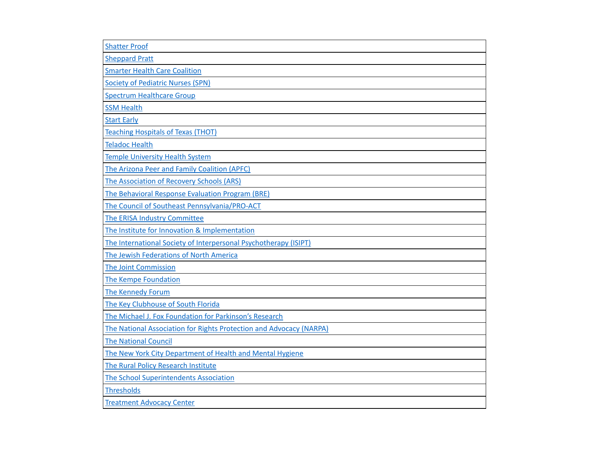|  | <b>Shatter Proof</b>                                                |
|--|---------------------------------------------------------------------|
|  | <b>Sheppard Pratt</b>                                               |
|  | <b>Smarter Health Care Coalition</b>                                |
|  | <b>Society of Pediatric Nurses (SPN)</b>                            |
|  | <b>Spectrum Healthcare Group</b>                                    |
|  | <b>SSM Health</b>                                                   |
|  | <b>Start Early</b>                                                  |
|  | <b>Teaching Hospitals of Texas (THOT)</b>                           |
|  | <b>Teladoc Health</b>                                               |
|  | <b>Temple University Health System</b>                              |
|  | The Arizona Peer and Family Coalition (APFC)                        |
|  | The Association of Recovery Schools (ARS)                           |
|  | The Behavioral Response Evaluation Program (BRE)                    |
|  | The Council of Southeast Pennsylvania/PRO-ACT                       |
|  | The ERISA Industry Committee                                        |
|  | The Institute for Innovation & Implementation                       |
|  | The International Society of Interpersonal Psychotherapy (ISIPT)    |
|  | The Jewish Federations of North America                             |
|  | The Joint Commission                                                |
|  | The Kempe Foundation                                                |
|  | The Kennedy Forum                                                   |
|  | The Key Clubhouse of South Florida                                  |
|  | The Michael J. Fox Foundation for Parkinson's Research              |
|  | The National Association for Rights Protection and Advocacy (NARPA) |
|  | <b>The National Council</b>                                         |
|  | The New York City Department of Health and Mental Hygiene           |
|  | The Rural Policy Research Institute                                 |
|  | <b>The School Superintendents Association</b>                       |
|  | <b>Thresholds</b>                                                   |
|  | <b>Treatment Advocacy Center</b>                                    |
|  |                                                                     |